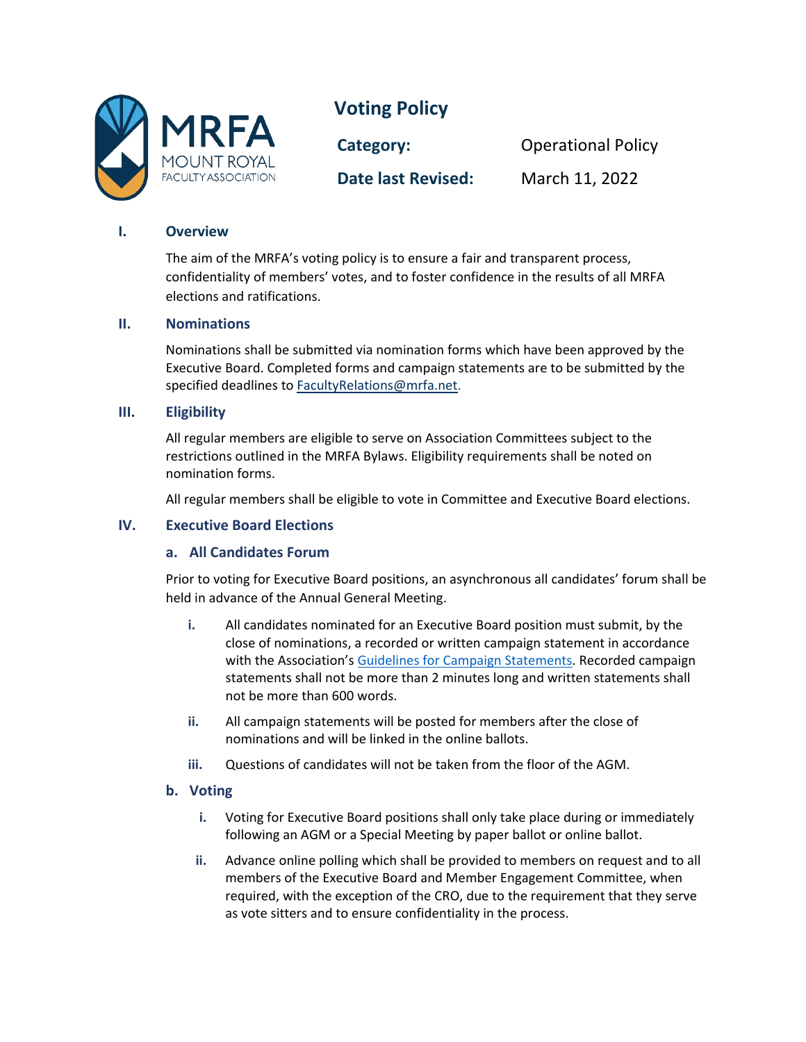

# **Voting Policy**

**Category:** Operational Policy **Date last Revised:** March 11, 2022

# **I. Overview**

The aim of the MRFA's voting policy is to ensure a fair and transparent process, confidentiality of members' votes, and to foster confidence in the results of all MRFA elections and ratifications.

#### **II. Nominations**

Nominations shall be submitted via nomination forms which have been approved by the Executive Board. Completed forms and campaign statements are to be submitted by the specified deadlines t[o FacultyRelations@mrfa.net.](mailto:FacultyRelations@mrfa.net)

## **III. Eligibility**

All regular members are eligible to serve on Association Committees subject to the restrictions outlined in the MRFA Bylaws. Eligibility requirements shall be noted on nomination forms.

All regular members shall be eligible to vote in Committee and Executive Board elections.

# **IV. Executive Board Elections**

#### **a. All Candidates Forum**

Prior to voting for Executive Board positions, an asynchronous all candidates' forum shall be held in advance of the Annual General Meeting.

- **i.** All candidates nominated for an Executive Board position must submit, by the close of nominations, a recorded or written campaign statement in accordance with the Association'[s Guidelines for Campaign Statements.](https://mrfa.net/wp-content/uploads/2021/05/Campaign-Statement-Guidelines-1.pdf) Recorded campaign statements shall not be more than 2 minutes long and written statements shall not be more than 600 words.
- **ii.** All campaign statements will be posted for members after the close of nominations and will be linked in the online ballots.
- **iii.** Questions of candidates will not be taken from the floor of the AGM.

#### **b. Voting**

- **i.** Voting for Executive Board positions shall only take place during or immediately following an AGM or a Special Meeting by paper ballot or online ballot.
- **ii.** Advance online polling which shall be provided to members on request and to all members of the Executive Board and Member Engagement Committee, when required, with the exception of the CRO, due to the requirement that they serve as vote sitters and to ensure confidentiality in the process.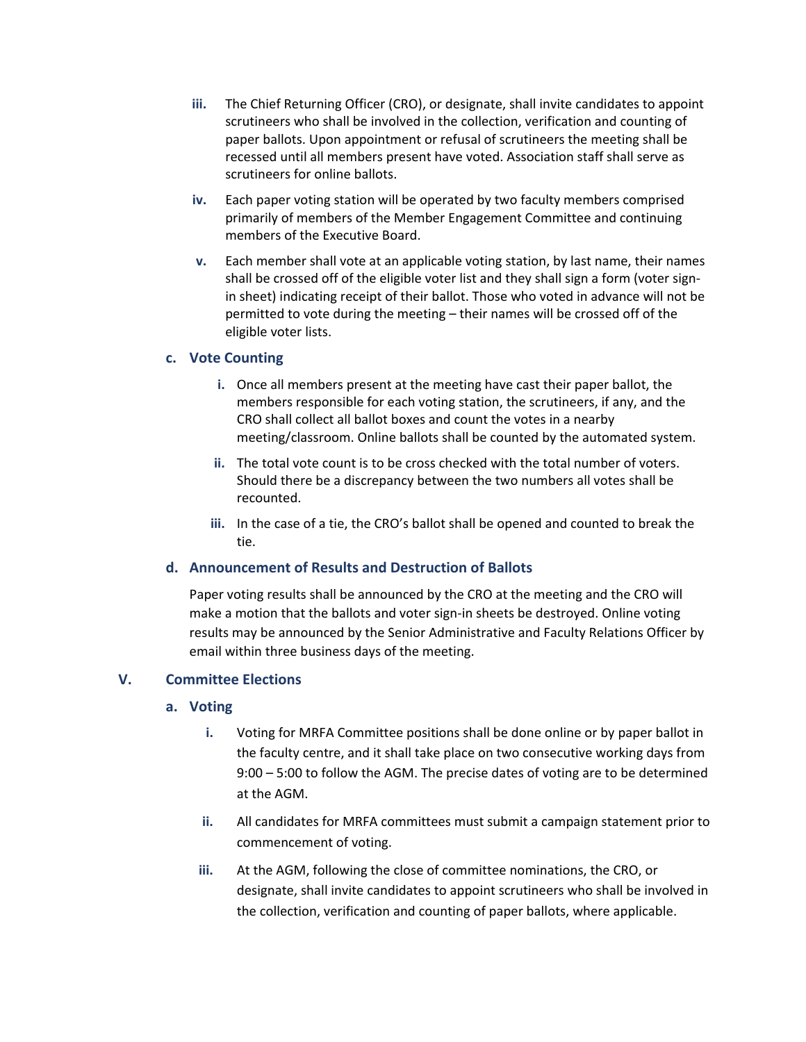- **iii.** The Chief Returning Officer (CRO), or designate, shall invite candidates to appoint scrutineers who shall be involved in the collection, verification and counting of paper ballots. Upon appointment or refusal of scrutineers the meeting shall be recessed until all members present have voted. Association staff shall serve as scrutineers for online ballots.
- **iv.** Each paper voting station will be operated by two faculty members comprised primarily of members of the Member Engagement Committee and continuing members of the Executive Board.
- **v.** Each member shall vote at an applicable voting station, by last name, their names shall be crossed off of the eligible voter list and they shall sign a form (voter signin sheet) indicating receipt of their ballot. Those who voted in advance will not be permitted to vote during the meeting – their names will be crossed off of the eligible voter lists.

## **c. Vote Counting**

- **i.** Once all members present at the meeting have cast their paper ballot, the members responsible for each voting station, the scrutineers, if any, and the CRO shall collect all ballot boxes and count the votes in a nearby meeting/classroom. Online ballots shall be counted by the automated system.
- **ii.** The total vote count is to be cross checked with the total number of voters. Should there be a discrepancy between the two numbers all votes shall be recounted.
- **iii.** In the case of a tie, the CRO's ballot shall be opened and counted to break the tie.

#### **d. Announcement of Results and Destruction of Ballots**

Paper voting results shall be announced by the CRO at the meeting and the CRO will make a motion that the ballots and voter sign-in sheets be destroyed. Online voting results may be announced by the Senior Administrative and Faculty Relations Officer by email within three business days of the meeting.

#### **V. Committee Elections**

#### **a. Voting**

- **i.** Voting for MRFA Committee positions shall be done online or by paper ballot in the faculty centre, and it shall take place on two consecutive working days from 9:00 – 5:00 to follow the AGM. The precise dates of voting are to be determined at the AGM.
- **ii.** All candidates for MRFA committees must submit a campaign statement prior to commencement of voting.
- **iii.** At the AGM, following the close of committee nominations, the CRO, or designate, shall invite candidates to appoint scrutineers who shall be involved in the collection, verification and counting of paper ballots, where applicable.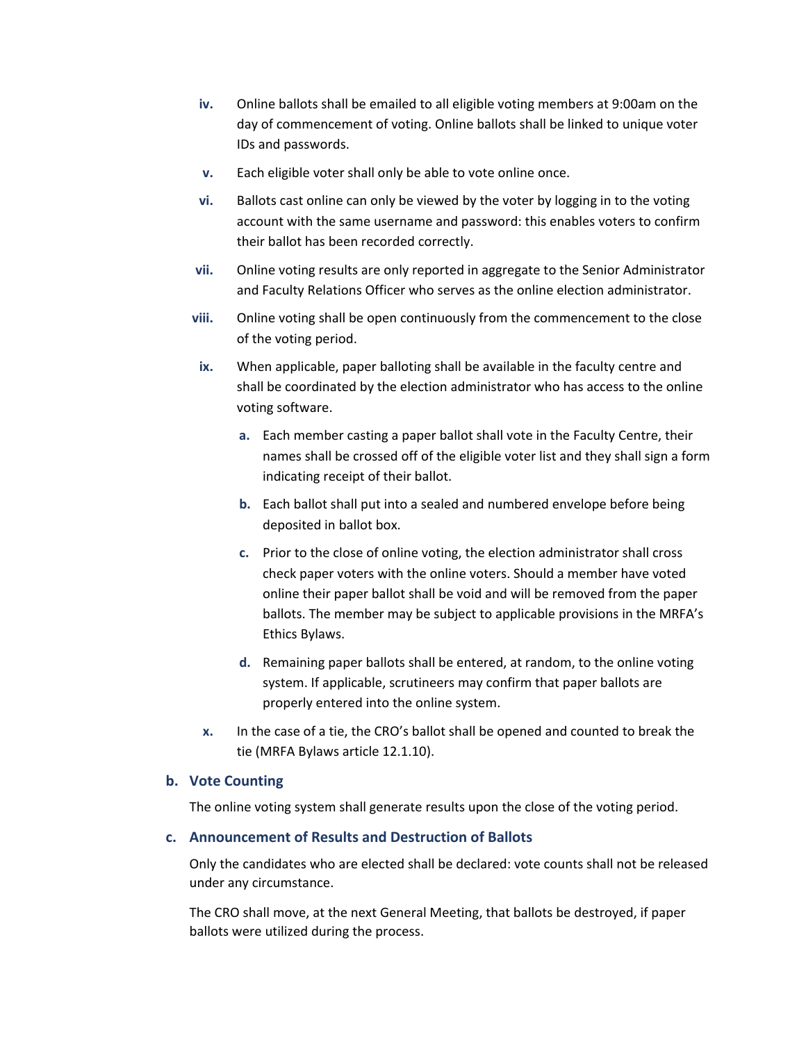- **iv.** Online ballots shall be emailed to all eligible voting members at 9:00am on the day of commencement of voting. Online ballots shall be linked to unique voter IDs and passwords.
- **v.** Each eligible voter shall only be able to vote online once.
- **vi.** Ballots cast online can only be viewed by the voter by logging in to the voting account with the same username and password: this enables voters to confirm their ballot has been recorded correctly.
- **vii.** Online voting results are only reported in aggregate to the Senior Administrator and Faculty Relations Officer who serves as the online election administrator.
- **viii.** Online voting shall be open continuously from the commencement to the close of the voting period.
- **ix.** When applicable, paper balloting shall be available in the faculty centre and shall be coordinated by the election administrator who has access to the online voting software.
	- **a.** Each member casting a paper ballot shall vote in the Faculty Centre, their names shall be crossed off of the eligible voter list and they shall sign a form indicating receipt of their ballot.
	- **b.** Each ballot shall put into a sealed and numbered envelope before being deposited in ballot box.
	- **c.** Prior to the close of online voting, the election administrator shall cross check paper voters with the online voters. Should a member have voted online their paper ballot shall be void and will be removed from the paper ballots. The member may be subject to applicable provisions in the MRFA's Ethics Bylaws.
	- **d.** Remaining paper ballots shall be entered, at random, to the online voting system. If applicable, scrutineers may confirm that paper ballots are properly entered into the online system.
- **x.** In the case of a tie, the CRO's ballot shall be opened and counted to break the tie (MRFA Bylaws article 12.1.10).

#### **b. Vote Counting**

The online voting system shall generate results upon the close of the voting period.

#### **c. Announcement of Results and Destruction of Ballots**

Only the candidates who are elected shall be declared: vote counts shall not be released under any circumstance.

The CRO shall move, at the next General Meeting, that ballots be destroyed, if paper ballots were utilized during the process.